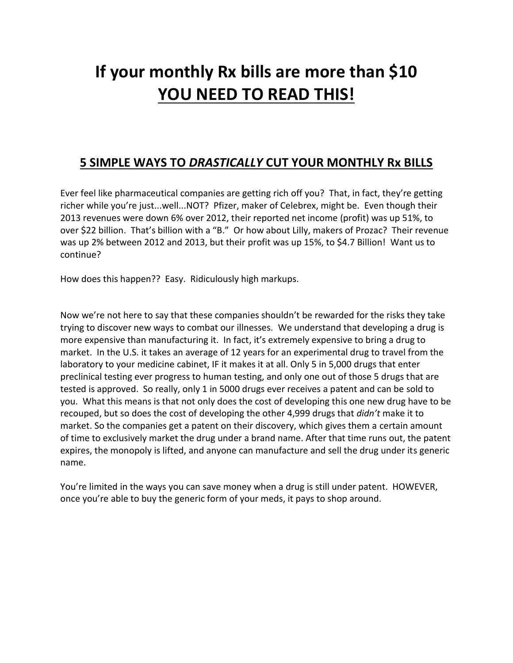# **If your monthly Rx bills are more than \$10 YOU NEED TO READ THIS!**

# **5 SIMPLE WAYS TO** *DRASTICALLY* **CUT YOUR MONTHLY Rx BILLS**

Ever feel like pharmaceutical companies are getting rich off you? That, in fact, they're getting richer while you're just...well...NOT? Pfizer, maker of Celebrex, might be. Even though their 2013 revenues were down 6% over 2012, their reported net income (profit) was up 51%, to over \$22 billion. That's billion with a "B." Or how about Lilly, makers of Prozac? Their revenue was up 2% between 2012 and 2013, but their profit was up 15%, to \$4.7 Billion! Want us to continue?

How does this happen?? Easy. Ridiculously high markups.

Now we're not here to say that these companies shouldn't be rewarded for the risks they take trying to discover new ways to combat our illnesses. We understand that developing a drug is more expensive than manufacturing it. In fact, it's extremely expensive to bring a drug to market. In the U.S. it takes an average of 12 years for an experimental drug to travel from the laboratory to your medicine cabinet, IF it makes it at all. Only 5 in 5,000 drugs that enter preclinical testing ever progress to human testing, and only one out of those 5 drugs that are tested is approved. So really, only 1 in 5000 drugs ever receives a patent and can be sold to you. What this means is that not only does the cost of developing this one new drug have to be recouped, but so does the cost of developing the other 4,999 drugs that *didn't* make it to market. So the companies get a patent on their discovery, which gives them a certain amount of time to exclusively market the drug under a brand name. After that time runs out, the patent expires, the monopoly is lifted, and anyone can manufacture and sell the drug under its generic name.

You're limited in the ways you can save money when a drug is still under patent. HOWEVER, once you're able to buy the generic form of your meds, it pays to shop around.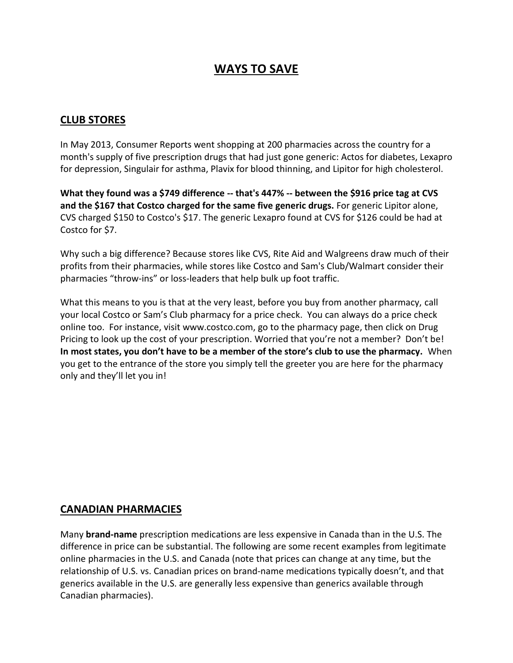# **WAYS TO SAVE**

#### **CLUB STORES**

In May 2013, Consumer Reports went shopping at 200 pharmacies across the country for a month's supply of five prescription drugs that had just gone generic: Actos for diabetes, Lexapro for depression, Singulair for asthma, Plavix for blood thinning, and Lipitor for high cholesterol.

**What they found was a \$749 difference -- that's 447% -- between the \$916 price tag at CVS and the \$167 that Costco charged for the same five generic drugs.** For generic Lipitor alone, CVS charged \$150 to Costco's \$17. The generic Lexapro found at CVS for \$126 could be had at Costco for \$7.

Why such a big difference? Because stores like CVS, Rite Aid and Walgreens draw much of their profits from their pharmacies, while stores like Costco and Sam's Club/Walmart consider their pharmacies "throw-ins" or loss-leaders that help bulk up foot traffic.

What this means to you is that at the very least, before you buy from another pharmacy, call your local Costco or Sam's Club pharmacy for a price check. You can always do a price check online too. For instance, visit www.costco.com, go to the pharmacy page, then click on Drug Pricing to look up the cost of your prescription. Worried that you're not a member? Don't be! **In most states, you don't have to be a member of the store's club to use the pharmacy.** When you get to the entrance of the store you simply tell the greeter you are here for the pharmacy only and they'll let you in!

#### **CANADIAN PHARMACIES**

Many **brand-name** prescription medications are less expensive in Canada than in the U.S. The difference in price can be substantial. The following are some recent examples from legitimate online pharmacies in the U.S. and Canada (note that prices can change at any time, but the relationship of U.S. vs. Canadian prices on brand-name medications typically doesn't, and that generics available in the U.S. are generally less expensive than generics available through Canadian pharmacies).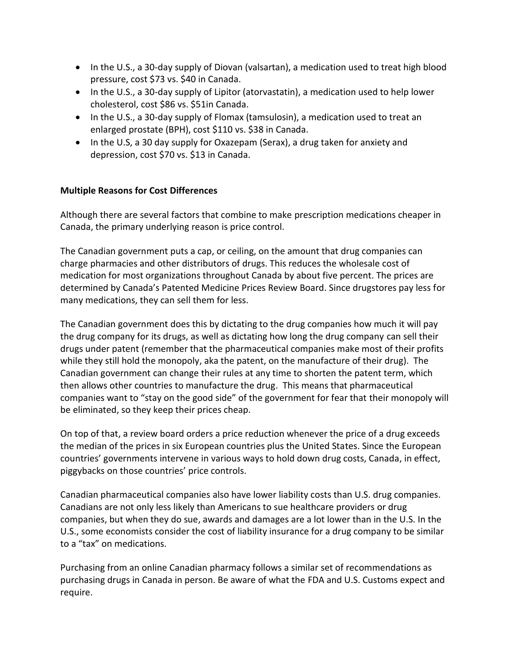- In the U.S., a 30-day supply of Diovan (valsartan), a medication used to treat high blood pressure, cost \$73 vs. \$40 in Canada.
- In the U.S., a 30-day supply of Lipitor (atorvastatin), a medication used to help lower cholesterol, cost \$86 vs. \$51in Canada.
- In the U.S., a 30-day supply of Flomax (tamsulosin), a medication used to treat an enlarged prostate (BPH), cost \$110 vs. \$38 in Canada.
- In the U.S, a 30 day supply for Oxazepam (Serax), a drug taken for anxiety and depression, cost \$70 vs. \$13 in Canada.

#### **Multiple Reasons for Cost Differences**

Although there are several factors that combine to make prescription medications cheaper in Canada, the primary underlying reason is price control.

The Canadian government puts a cap, or ceiling, on the amount that drug companies can charge pharmacies and other distributors of drugs. This reduces the wholesale cost of medication for most organizations throughout Canada by about five percent. The prices are determined by Canada's Patented Medicine Prices Review Board. Since drugstores pay less for many medications, they can sell them for less.

The Canadian government does this by dictating to the drug companies how much it will pay the drug company for its drugs, as well as dictating how long the drug company can sell their drugs under patent (remember that the pharmaceutical companies make most of their profits while they still hold the monopoly, aka the patent, on the manufacture of their drug). The Canadian government can change their rules at any time to shorten the patent term, which then allows other countries to manufacture the drug. This means that pharmaceutical companies want to "stay on the good side" of the government for fear that their monopoly will be eliminated, so they keep their prices cheap.

On top of that, a review board orders a price reduction whenever the price of a drug exceeds the median of the prices in six European countries plus the United States. Since the European countries' governments intervene in various ways to hold down drug costs, Canada, in effect, piggybacks on those countries' price controls.

Canadian pharmaceutical companies also have lower liability costs than U.S. drug companies. Canadians are not only less likely than Americans to sue healthcare providers or drug companies, but when they do sue, awards and damages are a lot lower than in the U.S. In the U.S., some economists consider the cost of liability insurance for a drug company to be similar to a "tax" on medications.

Purchasing from an online Canadian pharmacy follows a similar set of recommendations as purchasing drugs in Canada in person. Be aware of what the FDA and U.S. Customs expect and require.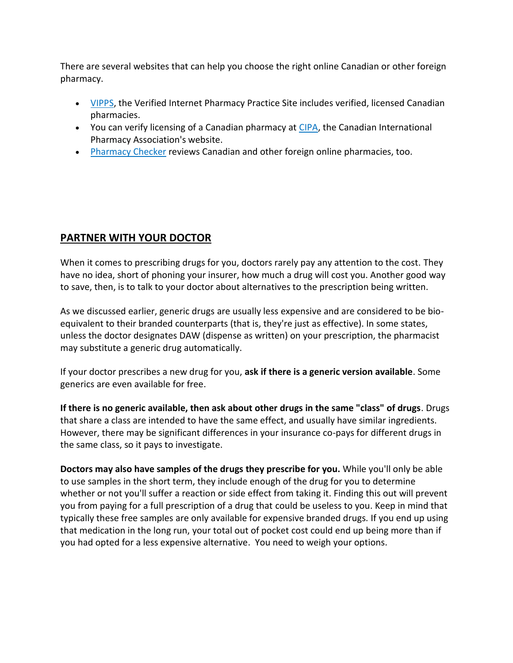There are several websites that can help you choose the right online Canadian or other foreign pharmacy.

- [VIPPS,](http://www.nabp.net/programs/accreditation/vipps/find-a-vipps-online-pharmacy/) the Verified Internet Pharmacy Practice Site includes verified, licensed Canadian pharmacies.
- You can verify licensing of a Canadian pharmacy at [CIPA,](http://www.cipa.com/) the Canadian International Pharmacy Association's website.
- [Pharmacy Checker](http://pharmacychecker.com/OnlinePharmacyRatings.asp?sortby=Country) reviews Canadian and other foreign online pharmacies, too.

## **PARTNER WITH YOUR DOCTOR**

When it comes to prescribing drugs for you, doctors rarely pay any attention to the cost. They have no idea, short of phoning your insurer, how much a drug will cost you. Another good way to save, then, is to talk to your doctor about alternatives to the prescription being written.

As we discussed earlier, generic drugs are usually less expensive and are considered to be bioequivalent to their branded counterparts (that is, they're just as effective). In some states, unless the doctor designates DAW (dispense as written) on your prescription, the pharmacist may substitute a generic drug automatically.

If your doctor prescribes a new drug for you, **ask if there is a generic version available**. Some generics are even available for free.

**If there is no generic available, then ask about other drugs in the same "class" of drugs**. Drugs that share a class are intended to have the same effect, and usually have similar ingredients. However, there may be significant differences in your insurance co-pays for different drugs in the same class, so it pays to investigate.

**Doctors may also have samples of the drugs they prescribe for you.** While you'll only be able to use samples in the short term, they include enough of the drug for you to determine whether or not you'll suffer a reaction or side effect from taking it. Finding this out will prevent you from paying for a full prescription of a drug that could be useless to you. Keep in mind that typically these free samples are only available for expensive branded drugs. If you end up using that medication in the long run, your total out of pocket cost could end up being more than if you had opted for a less expensive alternative. You need to weigh your options.